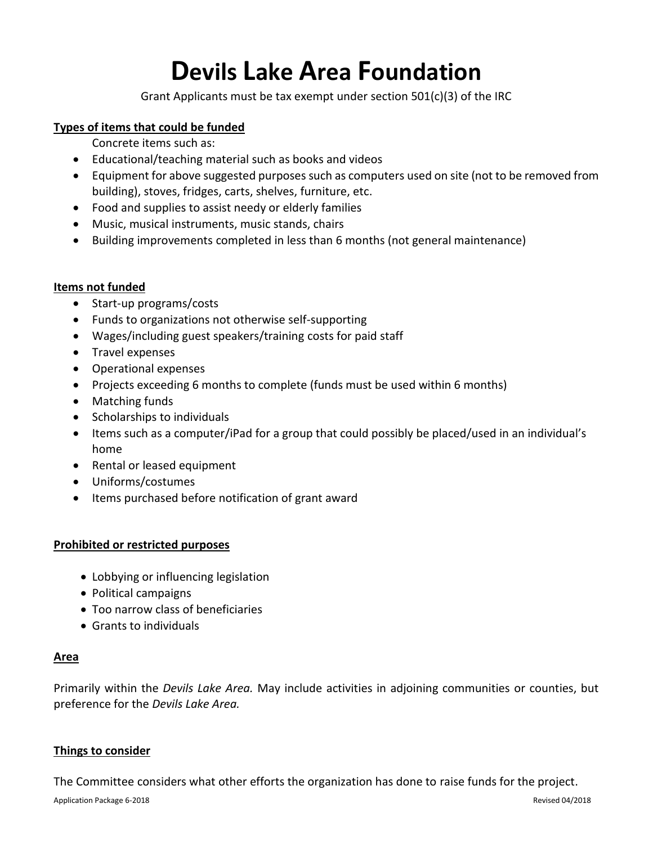## **Devils Lake Area Foundation**

Grant Applicants must be tax exempt under section 501(c)(3) of the IRC

#### **Types of items that could be funded**

Concrete items such as:

- Educational/teaching material such as books and videos
- Equipment for above suggested purposes such as computers used on site (not to be removed from building), stoves, fridges, carts, shelves, furniture, etc.
- Food and supplies to assist needy or elderly families
- Music, musical instruments, music stands, chairs
- Building improvements completed in less than 6 months (not general maintenance)

#### **Items not funded**

- Start-up programs/costs
- Funds to organizations not otherwise self-supporting
- Wages/including guest speakers/training costs for paid staff
- Travel expenses
- Operational expenses
- Projects exceeding 6 months to complete (funds must be used within 6 months)
- Matching funds
- Scholarships to individuals
- Items such as a computer/iPad for a group that could possibly be placed/used in an individual's home
- Rental or leased equipment
- Uniforms/costumes
- Items purchased before notification of grant award

#### **Prohibited or restricted purposes**

- Lobbying or influencing legislation
- Political campaigns
- Too narrow class of beneficiaries
- Grants to individuals

#### **Area**

Primarily within the *Devils Lake Area.* May include activities in adjoining communities or counties, but preference for the *Devils Lake Area.*

#### **Things to consider**

The Committee considers what other efforts the organization has done to raise funds for the project.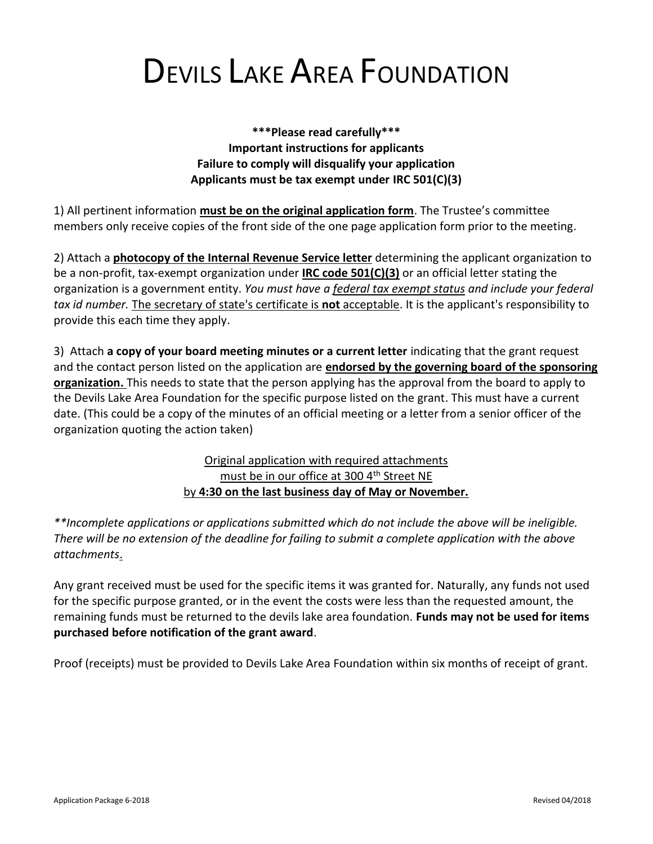# DEVILS LAKE AREA FOUNDATION

**\*\*\*Please read carefully\*\*\* Important instructions for applicants Failure to comply will disqualify your application Applicants must be tax exempt under IRC 501(C)(3)**

1) All pertinent information **must be on the original application form**. The Trustee's committee members only receive copies of the front side of the one page application form prior to the meeting.

2) Attach a **photocopy of the Internal Revenue Service letter** determining the applicant organization to be a non-profit, tax-exempt organization under **IRC code 501(C)(3)** or an official letter stating the organization is a government entity. *You must have a federal tax exempt status and include your federal tax id number.* The secretary of state's certificate is **not** acceptable. It is the applicant's responsibility to provide this each time they apply.

3) Attach **a copy of your board meeting minutes or a current letter** indicating that the grant request and the contact person listed on the application are **endorsed by the governing board of the sponsoring organization.** This needs to state that the person applying has the approval from the board to apply to the Devils Lake Area Foundation for the specific purpose listed on the grant. This must have a current date. (This could be a copy of the minutes of an official meeting or a letter from a senior officer of the organization quoting the action taken)

### Original application with required attachments must be in our office at 300 4<sup>th</sup> Street NE by **4:30 on the last business day of May or November.**

*\*\*Incomplete applications or applications submitted which do not include the above will be ineligible. There will be no extension of the deadline for failing to submit a complete application with the above attachments*.

Any grant received must be used for the specific items it was granted for. Naturally, any funds not used for the specific purpose granted, or in the event the costs were less than the requested amount, the remaining funds must be returned to the devils lake area foundation. **Funds may not be used for items purchased before notification of the grant award**.

Proof (receipts) must be provided to Devils Lake Area Foundation within six months of receipt of grant.